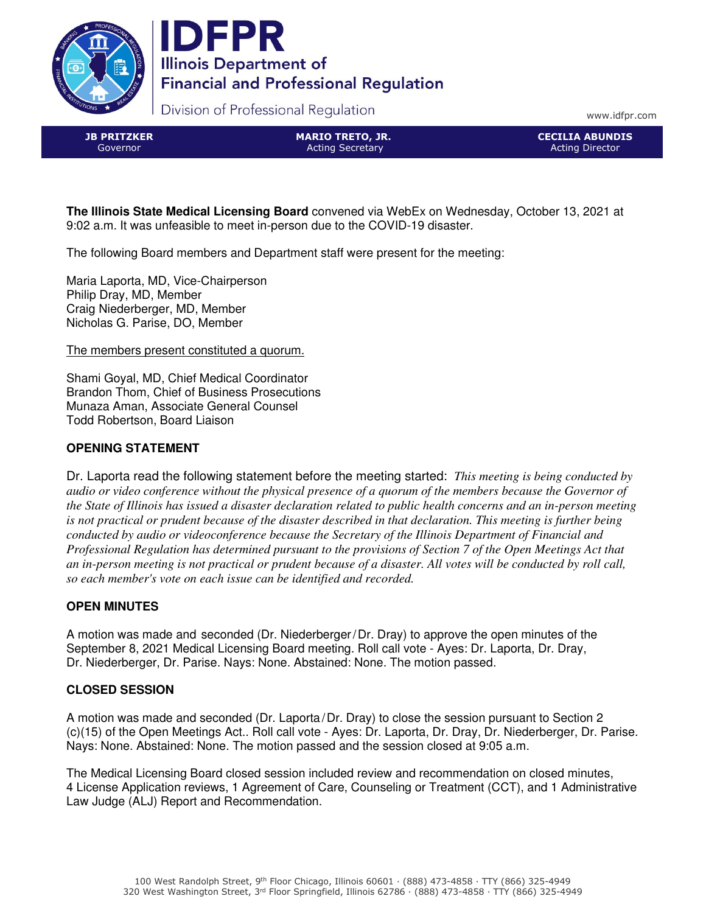



Division of Professional Regulation

www.idfpr.com

**JB PRITZKER** Governor

MARIO TRETO, JR. Acting Secretary

CECILIA ABUNDIS Acting Director

**The Illinois State Medical Licensing Board** convened via WebEx on Wednesday, October 13, 2021 at 9:02 a.m. It was unfeasible to meet in-person due to the COVID-19 disaster.

The following Board members and Department staff were present for the meeting:

Maria Laporta, MD, Vice-Chairperson Philip Dray, MD, Member Craig Niederberger, MD, Member Nicholas G. Parise, DO, Member

The members present constituted a quorum.

Shami Goyal, MD, Chief Medical Coordinator Brandon Thom, Chief of Business Prosecutions Munaza Aman, Associate General Counsel Todd Robertson, Board Liaison

# **OPENING STATEMENT**

Dr. Laporta read the following statement before the meeting started: *This meeting is being conducted by audio or video conference without the physical presence of a quorum of the members because the Governor of the State of Illinois has issued a disaster declaration related to public health concerns and an in-person meeting is not practical or prudent because of the disaster described in that declaration. This meeting is further being conducted by audio or videoconference because the Secretary of the Illinois Department of Financial and Professional Regulation has determined pursuant to the provisions of Section 7 of the Open Meetings Act that an in-person meeting is not practical or prudent because of a disaster. All votes will be conducted by roll call, so each member's vote on each issue can be identified and recorded.* 

# **OPEN MINUTES**

A motion was made and seconded (Dr. Niederberger/Dr. Dray) to approve the open minutes of the September 8, 2021 Medical Licensing Board meeting. Roll call vote - Ayes: Dr. Laporta, Dr. Dray, Dr. Niederberger, Dr. Parise. Nays: None. Abstained: None. The motion passed.

# **CLOSED SESSION**

A motion was made and seconded (Dr. Laporta/Dr. Dray) to close the session pursuant to Section 2 (c)(15) of the Open Meetings Act.. Roll call vote - Ayes: Dr. Laporta, Dr. Dray, Dr. Niederberger, Dr. Parise. Nays: None. Abstained: None. The motion passed and the session closed at 9:05 a.m.

The Medical Licensing Board closed session included review and recommendation on closed minutes, 4 License Application reviews, 1 Agreement of Care, Counseling or Treatment (CCT), and 1 Administrative Law Judge (ALJ) Report and Recommendation.